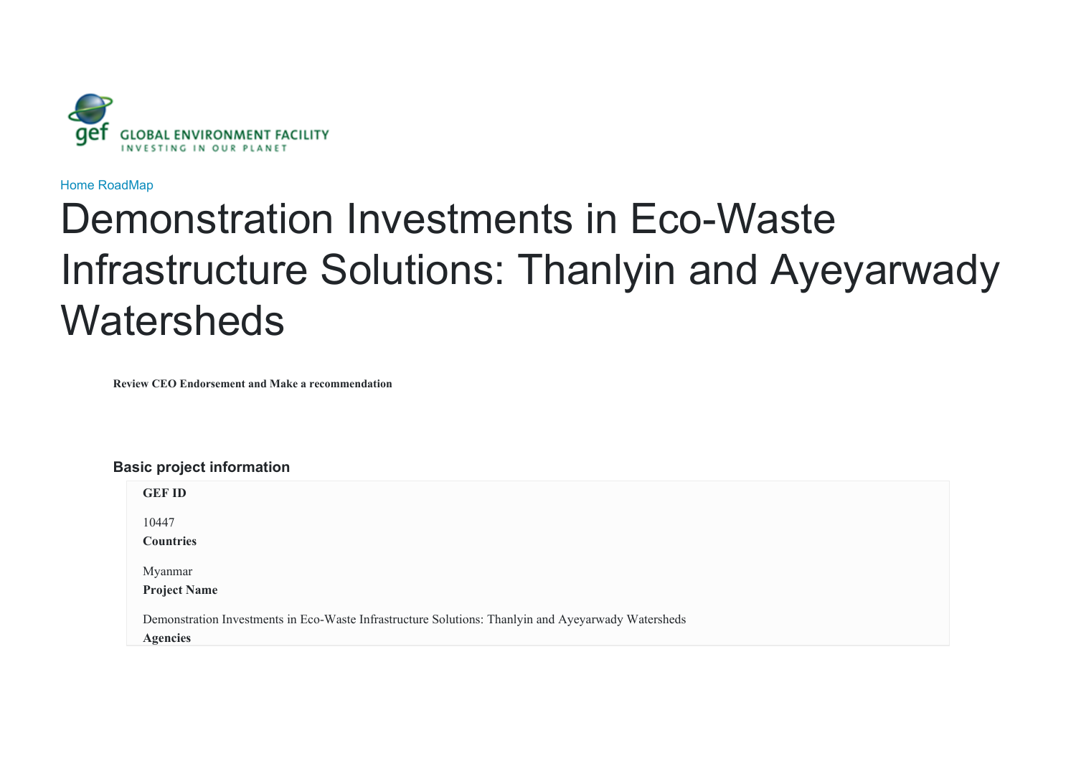

[Home](javascript:void(0)) [RoadMap](javascript:void(0))

# Demonstration Investments in Eco-Waste Infrastructure Solutions: Thanlyin and Ayeyarwady **Watersheds**

**Review CEO Endorsement and Make a recommendation**

# **Basic project information**

| <b>GEF ID</b>                                                                                       |
|-----------------------------------------------------------------------------------------------------|
| 10447                                                                                               |
| <b>Countries</b>                                                                                    |
| Myanmar                                                                                             |
| <b>Project Name</b>                                                                                 |
| Demonstration Investments in Eco-Waste Infrastructure Solutions: Thanlyin and Ayeyarwady Watersheds |
| <b>Agencies</b>                                                                                     |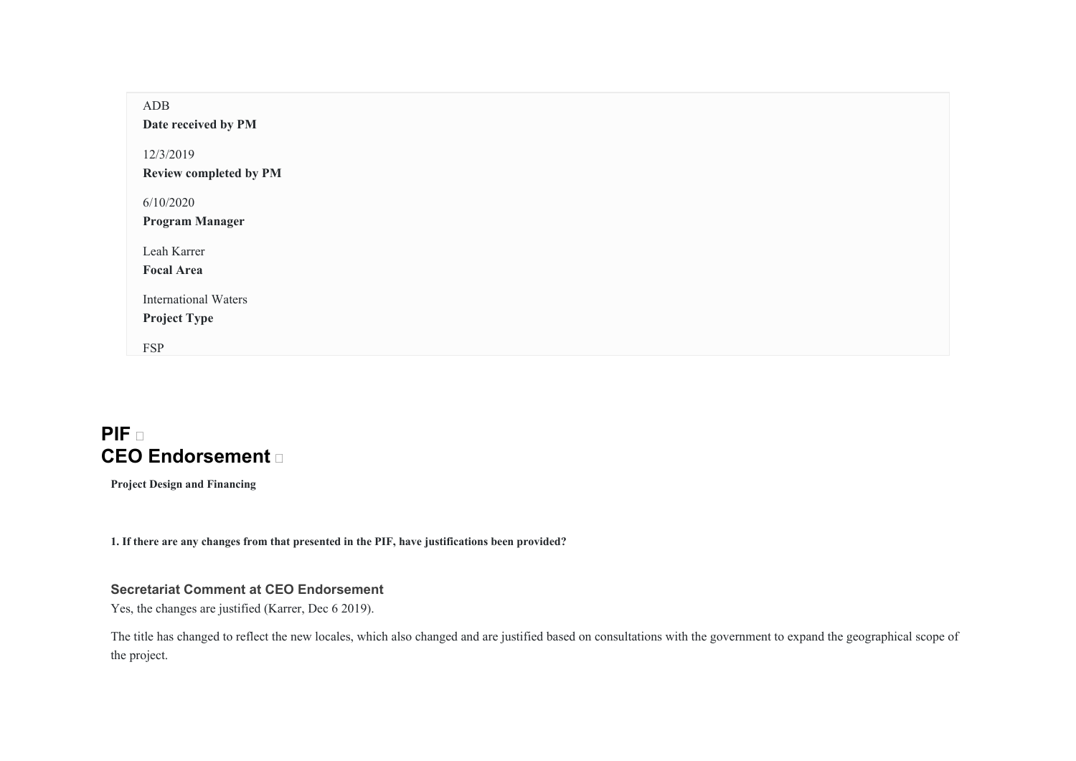| ADB<br>Date received by PM                         |  |
|----------------------------------------------------|--|
| 12/3/2019<br>Review completed by PM                |  |
| 6/10/2020<br><b>Program Manager</b>                |  |
| Leah Karrer<br><b>Focal Area</b>                   |  |
| <b>International Waters</b><br><b>Project Type</b> |  |
| <b>FSP</b>                                         |  |

# **PIF CEO Endorsement**

**Project Design and Financing** 

**1. If there are any changes from that presented in the PIF, have justifications been provided?** 

# **Secretariat Comment at CEO Endorsement**

Yes, the changes are justified (Karrer, Dec 6 2019).

The title has changed to reflect the new locales, which also changed and are justified based on consultations with the government to expand the geographical scope of the project.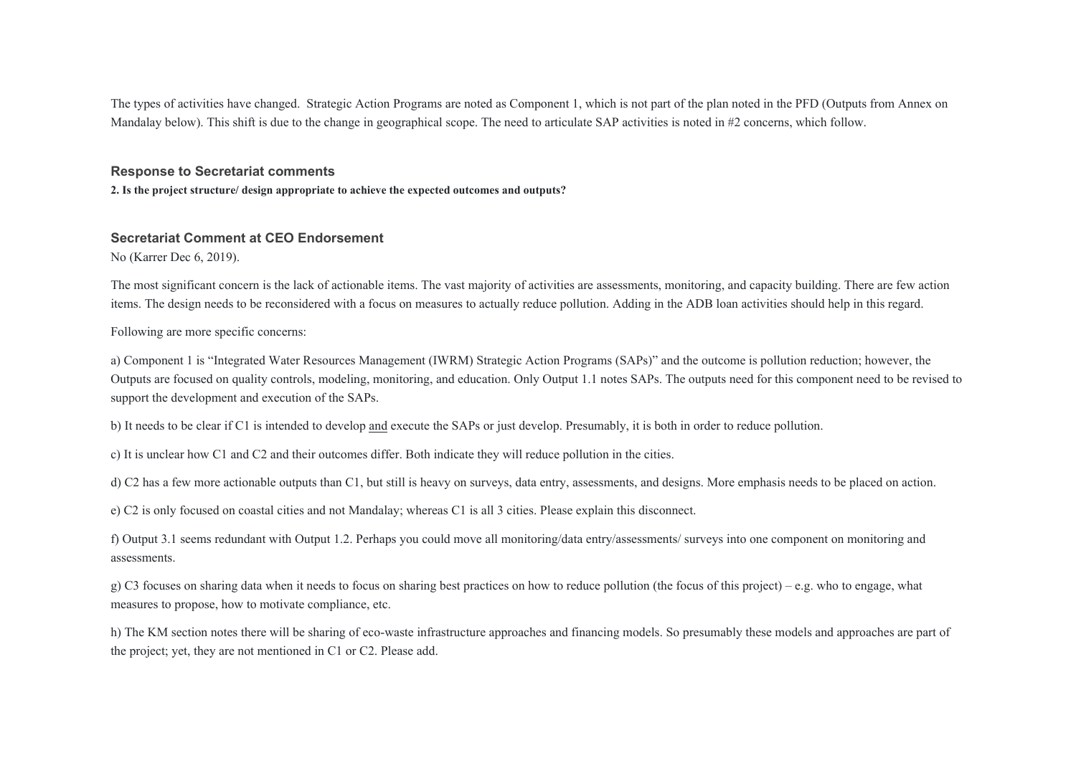The types of activities have changed. Strategic Action Programs are noted as Component 1, which is not part of the plan noted in the PFD (Outputs from Annex on Mandalay below). This shift is due to the change in geographical scope. The need to articulate SAP activities is noted in #2 concerns, which follow.

#### **Response to Secretariat comments**

**2. Is the project structure/ design appropriate to achieve the expected outcomes and outputs?** 

#### **Secretariat Comment at CEO Endorsement**

No (Karrer Dec 6, 2019).

The most significant concern is the lack of actionable items. The vast majority of activities are assessments, monitoring, and capacity building. There are few action items. The design needs to be reconsidered with a focus on measures to actually reduce pollution. Adding in the ADB loan activities should help in this regard.

Following are more specific concerns:

a) Component 1 is "Integrated Water Resources Management (IWRM) Strategic Action Programs (SAPs)" and the outcome is pollution reduction; however, the Outputs are focused on quality controls, modeling, monitoring, and education. Only Output 1.1 notes SAPs. The outputs need for this component need to be revised to support the development and execution of the SAPs.

b) It needs to be clear if C1 is intended to develop and execute the SAPs or just develop. Presumably, it is both in order to reduce pollution.

c) It is unclear how C1 and C2 and their outcomes differ. Both indicate they will reduce pollution in the cities.

d) C2 has a few more actionable outputs than C1, but still is heavy on surveys, data entry, assessments, and designs. More emphasis needs to be placed on action.

e) C2 is only focused on coastal cities and not Mandalay; whereas C1 is all 3 cities. Please explain this disconnect.

f) Output 3.1 seems redundant with Output 1.2. Perhaps you could move all monitoring/data entry/assessments/ surveys into one component on monitoring and assessments.

g) C3 focuses on sharing data when it needs to focus on sharing best practices on how to reduce pollution (the focus of this project) – e.g. who to engage, what measures to propose, how to motivate compliance, etc.

h) The KM section notes there will be sharing of eco-waste infrastructure approaches and financing models. So presumably these models and approaches are part of the project; yet, they are not mentioned in C1 or C2. Please add.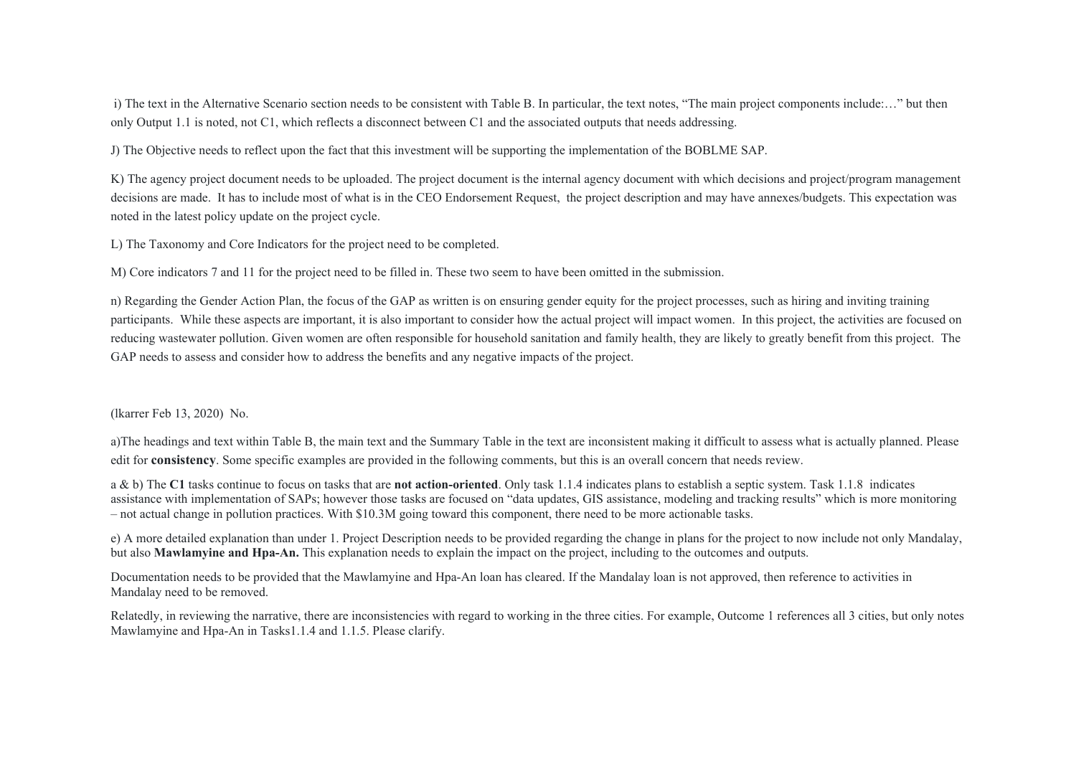i) The text in the Alternative Scenario section needs to be consistent with Table B. In particular, the text notes, "The main project components include:…" but then only Output 1.1 is noted, not C1, which reflects a disconnect between C1 and the associated outputs that needs addressing.

J) The Objective needs to reflect upon the fact that this investment will be supporting the implementation of the BOBLME SAP.

K) The agency project document needs to be uploaded. The project document is the internal agency document with which decisions and project/program management decisions are made. It has to include most of what is in the CEO Endorsement Request, the project description and may have annexes/budgets. This expectation was noted in the latest policy update on the project cycle.

L) The Taxonomy and Core Indicators for the project need to be completed.

M) Core indicators 7 and 11 for the project need to be filled in. These two seem to have been omitted in the submission.

n) Regarding the Gender Action Plan, the focus of the GAP as written is on ensuring gender equity for the project processes, such as hiring and inviting training participants. While these aspects are important, it is also important to consider how the actual project will impact women. In this project, the activities are focused on reducing wastewater pollution. Given women are often responsible for household sanitation and family health, they are likely to greatly benefit from this project. The GAP needs to assess and consider how to address the benefits and any negative impacts of the project.

(lkarrer Feb 13, 2020) No.

a)The headings and text within Table B, the main text and the Summary Table in the text are inconsistent making it difficult to assess what is actually planned. Please edit for **consistency**. Some specific examples are provided in the following comments, but this is an overall concern that needs review.

a & b) The **C1** tasks continue to focus on tasks that are **not action-oriented**. Only task 1.1.4 indicates plans to establish a septic system. Task 1.1.8 indicates assistance with implementation of SAPs; however those tasks are focused on "data updates, GIS assistance, modeling and tracking results" which is more monitoring – not actual change in pollution practices. With \$10.3M going toward this component, there need to be more actionable tasks.

e) A more detailed explanation than under 1. Project Description needs to be provided regarding the change in plans for the project to now include not only Mandalay, but also **Mawlamyine and Hpa-An.** This explanation needs to explain the impact on the project, including to the outcomes and outputs.

Documentation needs to be provided that the Mawlamyine and Hpa-An loan has cleared. If the Mandalay loan is not approved, then reference to activities in Mandalay need to be removed.

Relatedly, in reviewing the narrative, there are inconsistencies with regard to working in the three cities. For example, Outcome 1 references all 3 cities, but only notes Mawlamyine and Hpa-An in Tasks1.1.4 and 1.1.5. Please clarify.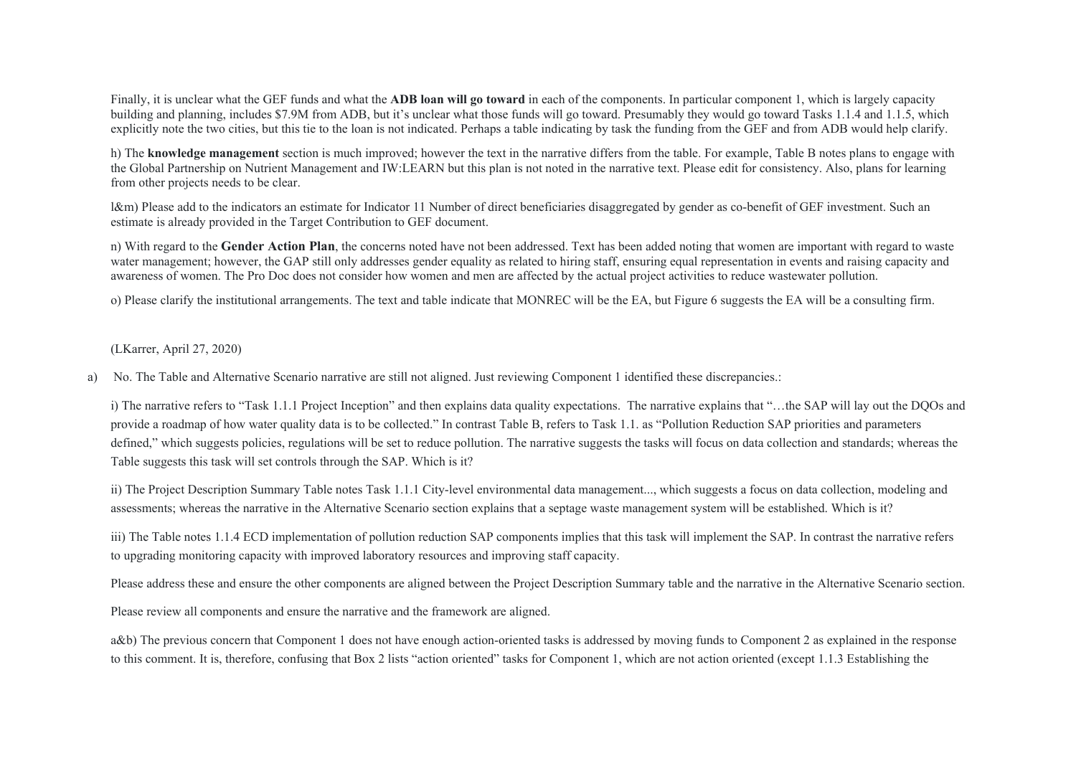Finally, it is unclear what the GEF funds and what the **ADB loan will go toward** in each of the components. In particular component 1, which is largely capacity building and planning, includes \$7.9M from ADB, but it's unclear what those funds will go toward. Presumably they would go toward Tasks 1.1.4 and 1.1.5, which explicitly note the two cities, but this tie to the loan is not indicated. Perhaps a table indicating by task the funding from the GEF and from ADB would help clarify.

h) The **knowledge management** section is much improved; however the text in the narrative differs from the table. For example, Table B notes plans to engage with the Global Partnership on Nutrient Management and IW:LEARN but this plan is not noted in the narrative text. Please edit for consistency. Also, plans for learning from other projects needs to be clear.

l&m) Please add to the indicators an estimate for Indicator 11 Number of direct beneficiaries disaggregated by gender as co-benefit of GEF investment. Such an estimate is already provided in the Target Contribution to GEF document.

n) With regard to the **Gender Action Plan**, the concerns noted have not been addressed. Text has been added noting that women are important with regard to waste water management; however, the GAP still only addresses gender equality as related to hiring staff, ensuring equal representation in events and raising capacity and awareness of women. The Pro Doc does not consider how women and men are affected by the actual project activities to reduce wastewater pollution.

o) Please clarify the institutional arrangements. The text and table indicate that MONREC will be the EA, but Figure 6 suggests the EA will be a consulting firm.

(LKarrer, April 27, 2020)

a) No. The Table and Alternative Scenario narrative are still not aligned. Just reviewing Component 1 identified these discrepancies.:

i) The narrative refers to "Task 1.1.1 Project Inception" and then explains data quality expectations. The narrative explains that "…the SAP will lay out the DQOs and provide a roadmap of how water quality data is to be collected." In contrast Table B, refers to Task 1.1. as "Pollution Reduction SAP priorities and parameters defined," which suggests policies, regulations will be set to reduce pollution. The narrative suggests the tasks will focus on data collection and standards; whereas the Table suggests this task will set controls through the SAP. Which is it?

ii) The Project Description Summary Table notes Task 1.1.1 City-level environmental data management..., which suggests a focus on data collection, modeling and assessments; whereas the narrative in the Alternative Scenario section explains that a septage waste management system will be established. Which is it?

iii) The Table notes 1.1.4 ECD implementation of pollution reduction SAP components implies that this task will implement the SAP. In contrast the narrative refers to upgrading monitoring capacity with improved laboratory resources and improving staff capacity.

Please address these and ensure the other components are aligned between the Project Description Summary table and the narrative in the Alternative Scenario section.

Please review all components and ensure the narrative and the framework are aligned.

a&b) The previous concern that Component 1 does not have enough action-oriented tasks is addressed by moving funds to Component 2 as explained in the response to this comment. It is, therefore, confusing that Box 2 lists "action oriented" tasks for Component 1, which are not action oriented (except 1.1.3 Establishing the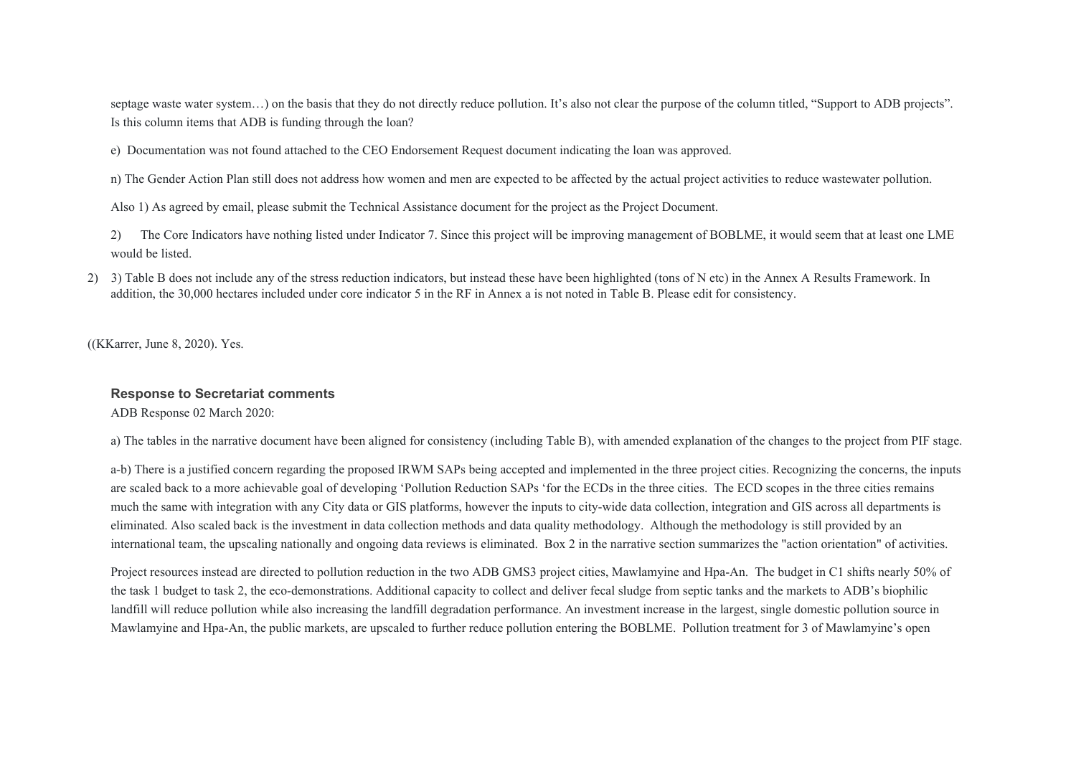septage waste water system...) on the basis that they do not directly reduce pollution. It's also not clear the purpose of the column titled, "Support to ADB projects". Is this column items that ADB is funding through the loan?

e) Documentation was not found attached to the CEO Endorsement Request document indicating the loan was approved.

n) The Gender Action Plan still does not address how women and men are expected to be affected by the actual project activities to reduce wastewater pollution.

Also 1) As agreed by email, please submit the Technical Assistance document for the project as the Project Document.

2) The Core Indicators have nothing listed under Indicator 7. Since this project will be improving management of BOBLME, it would seem that at least one LME would be listed.

2) 3) Table B does not include any of the stress reduction indicators, but instead these have been highlighted (tons of N etc) in the Annex A Results Framework. In addition, the 30,000 hectares included under core indicator 5 in the RF in Annex a is not noted in Table B. Please edit for consistency.

((KKarrer, June 8, 2020). Yes.

# **Response to Secretariat comments**

ADB Response 02 March 2020:

a) The tables in the narrative document have been aligned for consistency (including Table B), with amended explanation of the changes to the project from PIF stage.

a-b) There is a justified concern regarding the proposed IRWM SAPs being accepted and implemented in the three project cities. Recognizing the concerns, the inputs are scaled back to a more achievable goal of developing 'Pollution Reduction SAPs 'for the ECDs in the three cities. The ECD scopes in the three cities remains much the same with integration with any City data or GIS platforms, however the inputs to city-wide data collection, integration and GIS across all departments is eliminated. Also scaled back is the investment in data collection methods and data quality methodology. Although the methodology is still provided by an international team, the upscaling nationally and ongoing data reviews is eliminated. Box 2 in the narrative section summarizes the "action orientation" of activities.

Project resources instead are directed to pollution reduction in the two ADB GMS3 project cities, Mawlamyine and Hpa-An. The budget in C1 shifts nearly 50% of the task 1 budget to task 2, the eco-demonstrations. Additional capacity to collect and deliver fecal sludge from septic tanks and the markets to ADB's biophilic landfill will reduce pollution while also increasing the landfill degradation performance. An investment increase in the largest, single domestic pollution source in Mawlamyine and Hpa-An, the public markets, are upscaled to further reduce pollution entering the BOBLME. Pollution treatment for 3 of Mawlamyine's open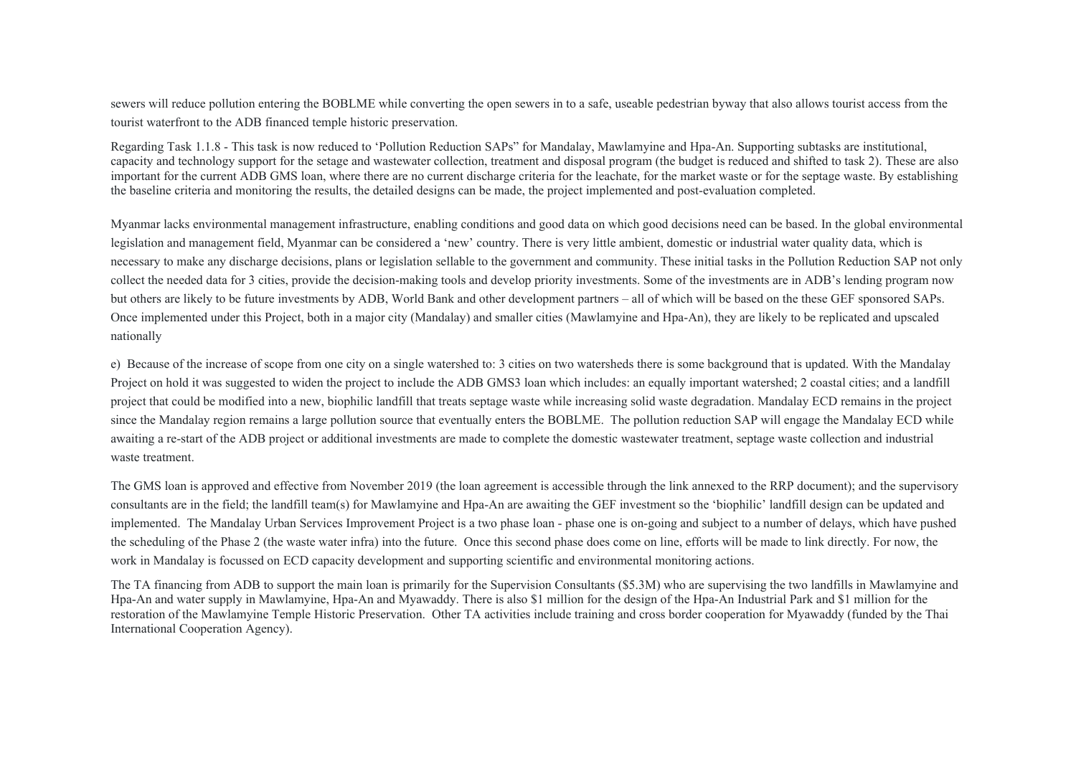sewers will reduce pollution entering the BOBLME while converting the open sewers in to a safe, useable pedestrian byway that also allows tourist access from the tourist waterfront to the ADB financed temple historic preservation.

Regarding Task 1.1.8 - This task is now reduced to 'Pollution Reduction SAPs" for Mandalay, Mawlamyine and Hpa-An. Supporting subtasks are institutional, capacity and technology support for the setage and wastewater collection, treatment and disposal program (the budget is reduced and shifted to task 2). These are also important for the current ADB GMS loan, where there are no current discharge criteria for the leachate, for the market waste or for the septage waste. By establishing the baseline criteria and monitoring the results, the detailed designs can be made, the project implemented and post-evaluation completed.

Myanmar lacks environmental management infrastructure, enabling conditions and good data on which good decisions need can be based. In the global environmental legislation and management field, Myanmar can be considered a 'new' country. There is very little ambient, domestic or industrial water quality data, which is necessary to make any discharge decisions, plans or legislation sellable to the government and community. These initial tasks in the Pollution Reduction SAP not only collect the needed data for 3 cities, provide the decision-making tools and develop priority investments. Some of the investments are in ADB's lending program now but others are likely to be future investments by ADB, World Bank and other development partners – all of which will be based on the these GEF sponsored SAPs. Once implemented under this Project, both in a major city (Mandalay) and smaller cities (Mawlamyine and Hpa-An), they are likely to be replicated and upscaled nationally

e) Because of the increase of scope from one city on a single watershed to: 3 cities on two watersheds there is some background that is updated. With the Mandalay Project on hold it was suggested to widen the project to include the ADB GMS3 loan which includes: an equally important watershed; 2 coastal cities; and a landfill project that could be modified into a new, biophilic landfill that treats septage waste while increasing solid waste degradation. Mandalay ECD remains in the project since the Mandalay region remains a large pollution source that eventually enters the BOBLME. The pollution reduction SAP will engage the Mandalay ECD while awaiting a re-start of the ADB project or additional investments are made to complete the domestic wastewater treatment, septage waste collection and industrial waste treatment.

The GMS loan is approved and effective from November 2019 (the loan agreement is accessible through the link annexed to the RRP document); and the supervisory consultants are in the field; the landfill team(s) for Mawlamyine and Hpa-An are awaiting the GEF investment so the 'biophilic' landfill design can be updated and implemented. The Mandalay Urban Services Improvement Project is a two phase loan - phase one is on-going and subject to a number of delays, which have pushed the scheduling of the Phase 2 (the waste water infra) into the future. Once this second phase does come on line, efforts will be made to link directly. For now, the work in Mandalay is focussed on ECD capacity development and supporting scientific and environmental monitoring actions.

The TA financing from ADB to support the main loan is primarily for the Supervision Consultants (\$5.3M) who are supervising the two landfills in Mawlamyine and Hpa-An and water supply in Mawlamyine, Hpa-An and Myawaddy. There is also \$1 million for the design of the Hpa-An Industrial Park and \$1 million for the restoration of the Mawlamyine Temple Historic Preservation. Other TA activities include training and cross border cooperation for Myawaddy (funded by the Thai International Cooperation Agency).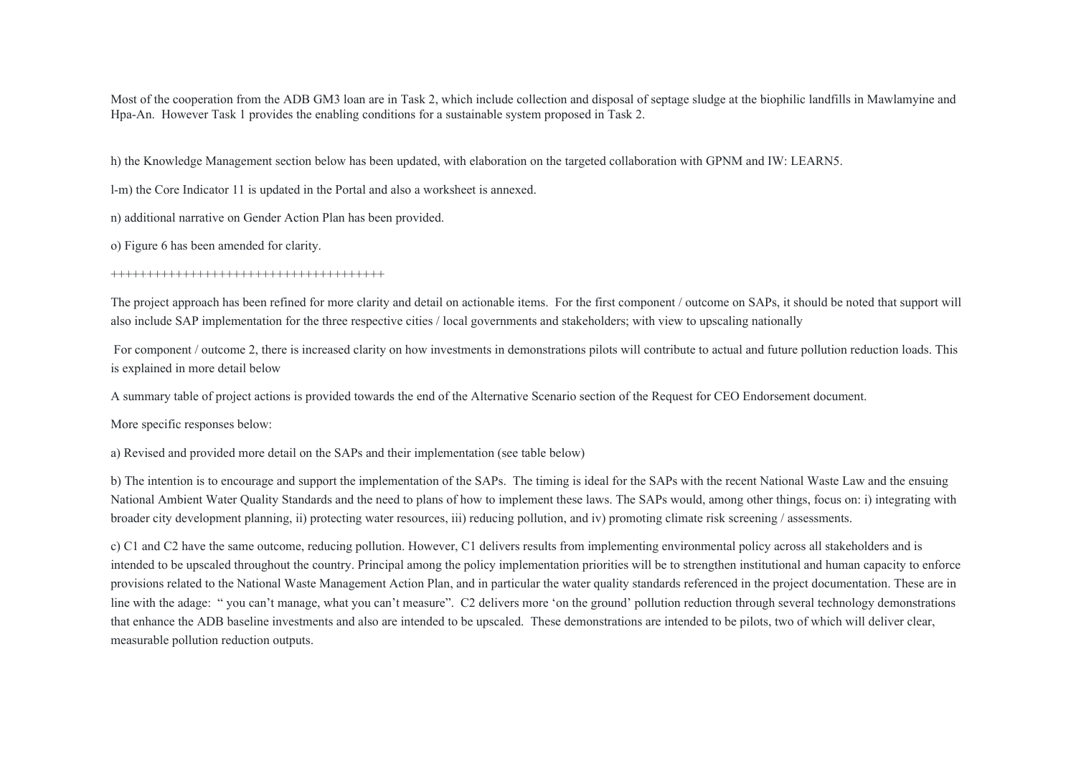Most of the cooperation from the ADB GM3 loan are in Task 2, which include collection and disposal of septage sludge at the biophilic landfills in Mawlamyine and Hpa-An. However Task 1 provides the enabling conditions for a sustainable system proposed in Task 2.

h) the Knowledge Management section below has been updated, with elaboration on the targeted collaboration with GPNM and IW: LEARN5.

l-m) the Core Indicator 11 is updated in the Portal and also a worksheet is annexed.

n) additional narrative on Gender Action Plan has been provided.

o) Figure 6 has been amended for clarity.

#### ++++++++++++++++++++++++++++++++++++++

The project approach has been refined for more clarity and detail on actionable items. For the first component / outcome on SAPs, it should be noted that support will also include SAP implementation for the three respective cities / local governments and stakeholders; with view to upscaling nationally

For component / outcome 2, there is increased clarity on how investments in demonstrations pilots will contribute to actual and future pollution reduction loads. This is explained in more detail below

A summary table of project actions is provided towards the end of the Alternative Scenario section of the Request for CEO Endorsement document.

More specific responses below:

a) Revised and provided more detail on the SAPs and their implementation (see table below)

b) The intention is to encourage and support the implementation of the SAPs. The timing is ideal for the SAPs with the recent National Waste Law and the ensuing National Ambient Water Quality Standards and the need to plans of how to implement these laws. The SAPs would, among other things, focus on: i) integrating with broader city development planning, ii) protecting water resources, iii) reducing pollution, and iv) promoting climate risk screening / assessments.

c) C1 and C2 have the same outcome, reducing pollution. However, C1 delivers results from implementing environmental policy across all stakeholders and is intended to be upscaled throughout the country. Principal among the policy implementation priorities will be to strengthen institutional and human capacity to enforce provisions related to the National Waste Management Action Plan, and in particular the water quality standards referenced in the project documentation. These are in line with the adage: " you can't manage, what you can't measure". C2 delivers more 'on the ground' pollution reduction through several technology demonstrations that enhance the ADB baseline investments and also are intended to be upscaled. These demonstrations are intended to be pilots, two of which will deliver clear, measurable pollution reduction outputs.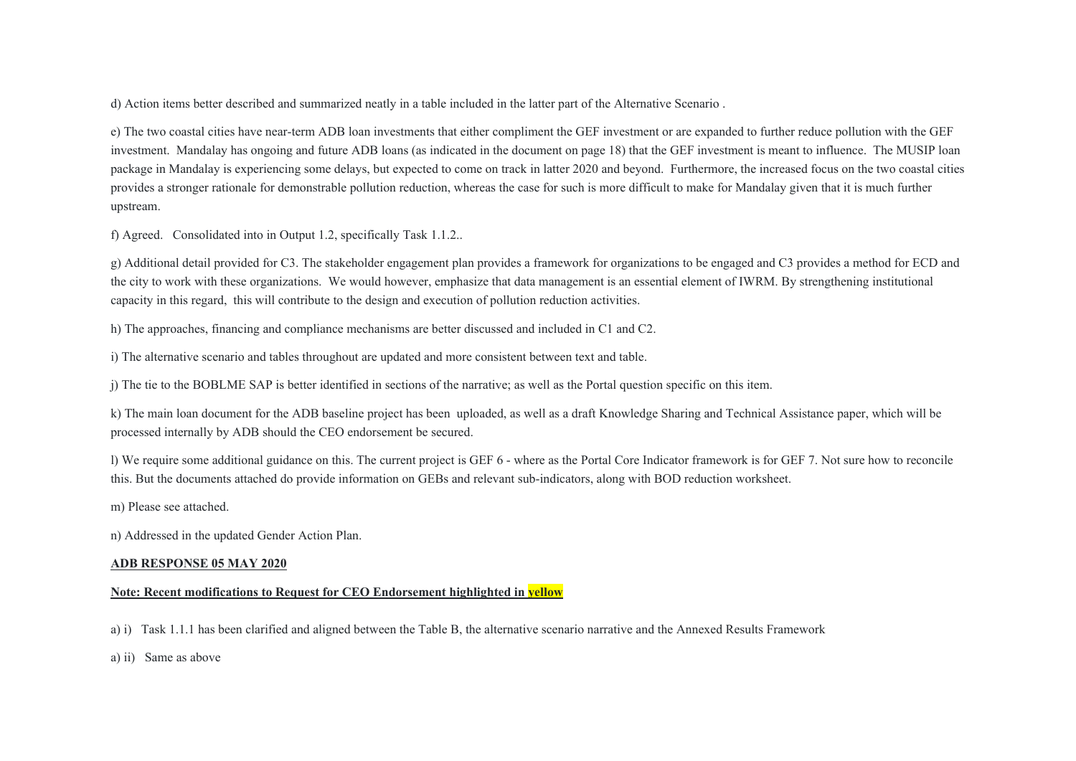d) Action items better described and summarized neatly in a table included in the latter part of the Alternative Scenario .

e) The two coastal cities have near-term ADB loan investments that either compliment the GEF investment or are expanded to further reduce pollution with the GEF investment. Mandalay has ongoing and future ADB loans (as indicated in the document on page 18) that the GEF investment is meant to influence. The MUSIP loan package in Mandalay is experiencing some delays, but expected to come on track in latter 2020 and beyond. Furthermore, the increased focus on the two coastal cities provides a stronger rationale for demonstrable pollution reduction, whereas the case for such is more difficult to make for Mandalay given that it is much further upstream.

f) Agreed. Consolidated into in Output 1.2, specifically Task 1.1.2..

g) Additional detail provided for C3. The stakeholder engagement plan provides a framework for organizations to be engaged and C3 provides a method for ECD and the city to work with these organizations. We would however, emphasize that data management is an essential element of IWRM. By strengthening institutional capacity in this regard, this will contribute to the design and execution of pollution reduction activities.

h) The approaches, financing and compliance mechanisms are better discussed and included in C1 and C2.

i) The alternative scenario and tables throughout are updated and more consistent between text and table.

j) The tie to the BOBLME SAP is better identified in sections of the narrative; as well as the Portal question specific on this item.

k) The main loan document for the ADB baseline project has been uploaded, as well as a draft Knowledge Sharing and Technical Assistance paper, which will be processed internally by ADB should the CEO endorsement be secured.

l) We require some additional guidance on this. The current project is GEF 6 - where as the Portal Core Indicator framework is for GEF 7. Not sure how to reconcile this. But the documents attached do provide information on GEBs and relevant sub-indicators, along with BOD reduction worksheet.

m) Please see attached.

n) Addressed in the updated Gender Action Plan.

#### **ADB RESPONSE 05 MAY 2020**

# **Note: Recent modifications to Request for CEO Endorsement highlighted in yellow**

a) i) Task 1.1.1 has been clarified and aligned between the Table B, the alternative scenario narrative and the Annexed Results Framework

a) ii) Same as above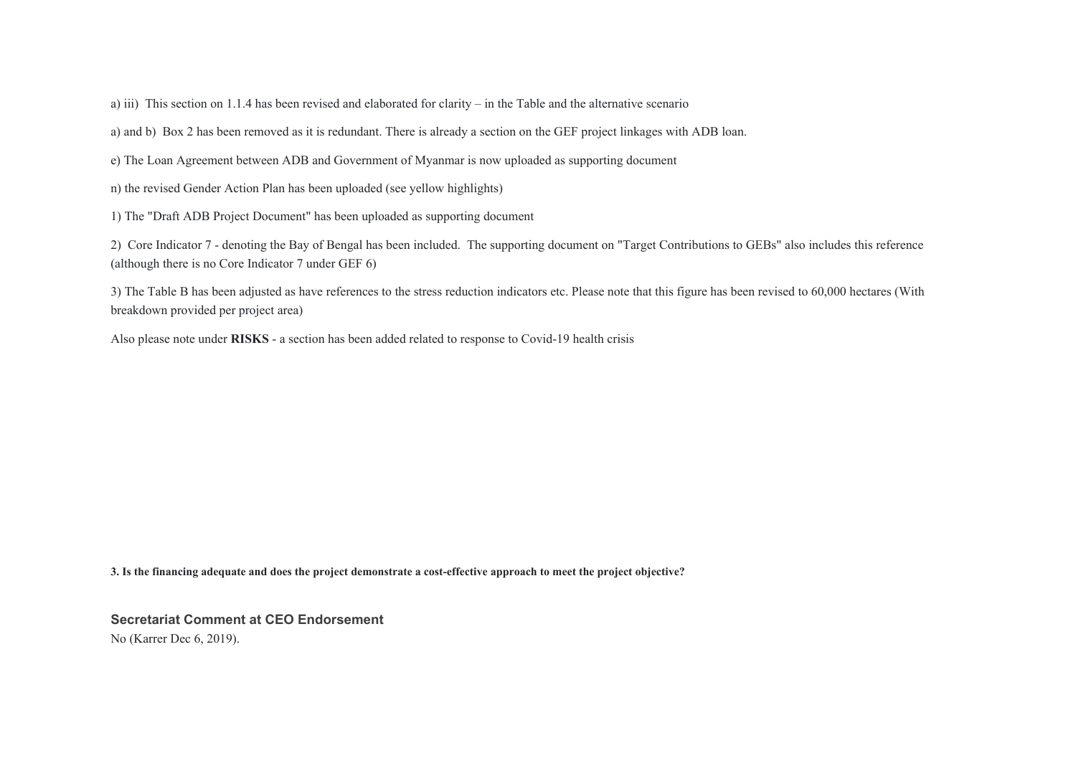a) iii) This section on 1.1.4 has been revised and elaborated for clarity – in the Table and the alternative scenario

a) and b) Box 2 has been removed as it is redundant. There is already a section on the GEF project linkages with ADB loan.

e) The Loan Agreement between ADB and Government of Myanmar is now uploaded as supporting document

n) the revised Gender Action Plan has been uploaded (see yellow highlights)

1) The "Draft ADB Project Document" has been uploaded as supporting document

2) Core Indicator 7 - denoting the Bay of Bengal has been included. The supporting document on "Target Contributions to GEBs" also includes this reference (although there is no Core Indicator 7 under GEF 6)

3) The Table B has been adjusted as have references to the stress reduction indicators etc. Please note that this figure has been revised to 60,000 hectares (With breakdown provided per project area)

Also please note under **RISKS** - a section has been added related to response to Covid-19 health crisis

**3. Is the financing adequate and does the project demonstrate a cost-effective approach to meet the project objective?** 

**Secretariat Comment at CEO Endorsement** No (Karrer Dec 6, 2019).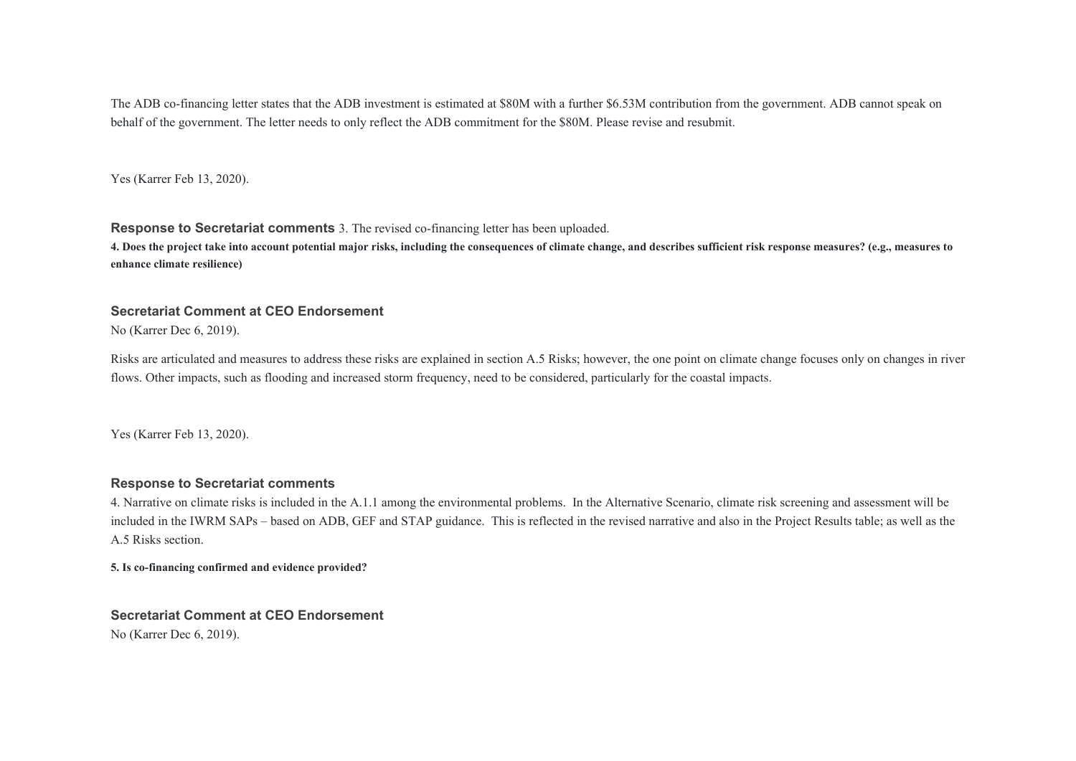The ADB co-financing letter states that the ADB investment is estimated at \$80M with a further \$6.53M contribution from the government. ADB cannot speak on behalf of the government. The letter needs to only reflect the ADB commitment for the \$80M. Please revise and resubmit.

Yes (Karrer Feb 13, 2020).

**Response to Secretariat comments** 3. The revised co-financing letter has been uploaded.

**4. Does the project take into account potential major risks, including the consequences of climate change, and describes sufficient risk response measures? (e.g., measures to enhance climate resilience)** 

### **Secretariat Comment at CEO Endorsement**

No (Karrer Dec 6, 2019).

Risks are articulated and measures to address these risks are explained in section A.5 Risks; however, the one point on climate change focuses only on changes in river flows. Other impacts, such as flooding and increased storm frequency, need to be considered, particularly for the coastal impacts.

Yes (Karrer Feb 13, 2020).

### **Response to Secretariat comments**

4. Narrative on climate risks is included in the A.1.1 among the environmental problems. In the Alternative Scenario, climate risk screening and assessment will be included in the IWRM SAPs – based on ADB, GEF and STAP guidance. This is reflected in the revised narrative and also in the Project Results table; as well as the A.5 Risks section.

**5. Is co-financing confirmed and evidence provided?** 

**Secretariat Comment at CEO Endorsement** No (Karrer Dec 6, 2019).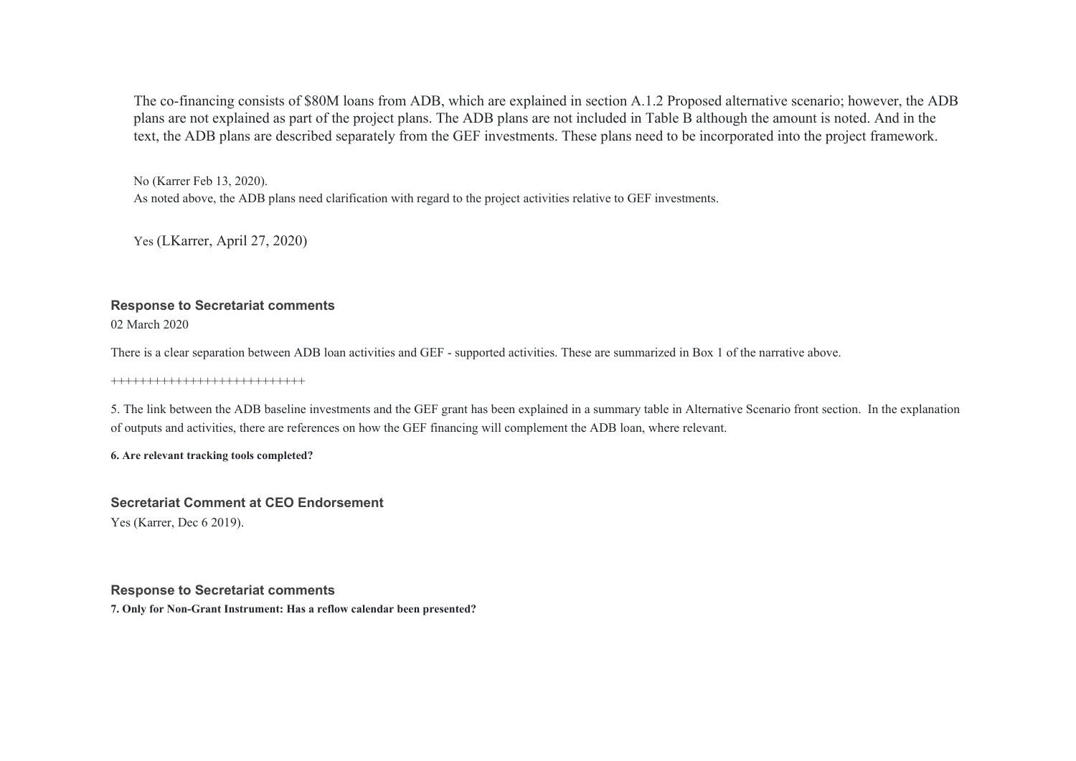The co-financing consists of \$80M loans from ADB, which are explained in section A.1.2 Proposed alternative scenario; however, the ADB plans are not explained as part of the project plans. The ADB plans are not included in Table B although the amount is noted. And in the text, the ADB plans are described separately from the GEF investments. These plans need to be incorporated into the project framework.

No (Karrer Feb 13, 2020). As noted above, the ADB plans need clarification with regard to the project activities relative to GEF investments.

Yes (LKarrer, April 27, 2020)

# **Response to Secretariat comments**

02 March 2020

There is a clear separation between ADB loan activities and GEF - supported activities. These are summarized in Box 1 of the narrative above.

+++++++++++++++++++++++++++

5. The link between the ADB baseline investments and the GEF grant has been explained in a summary table in Alternative Scenario front section. In the explanation of outputs and activities, there are references on how the GEF financing will complement the ADB loan, where relevant.

**6. Are relevant tracking tools completed?** 

**Secretariat Comment at CEO Endorsement** Yes (Karrer, Dec 6 2019).

**Response to Secretariat comments 7. Only for Non-Grant Instrument: Has a reflow calendar been presented?**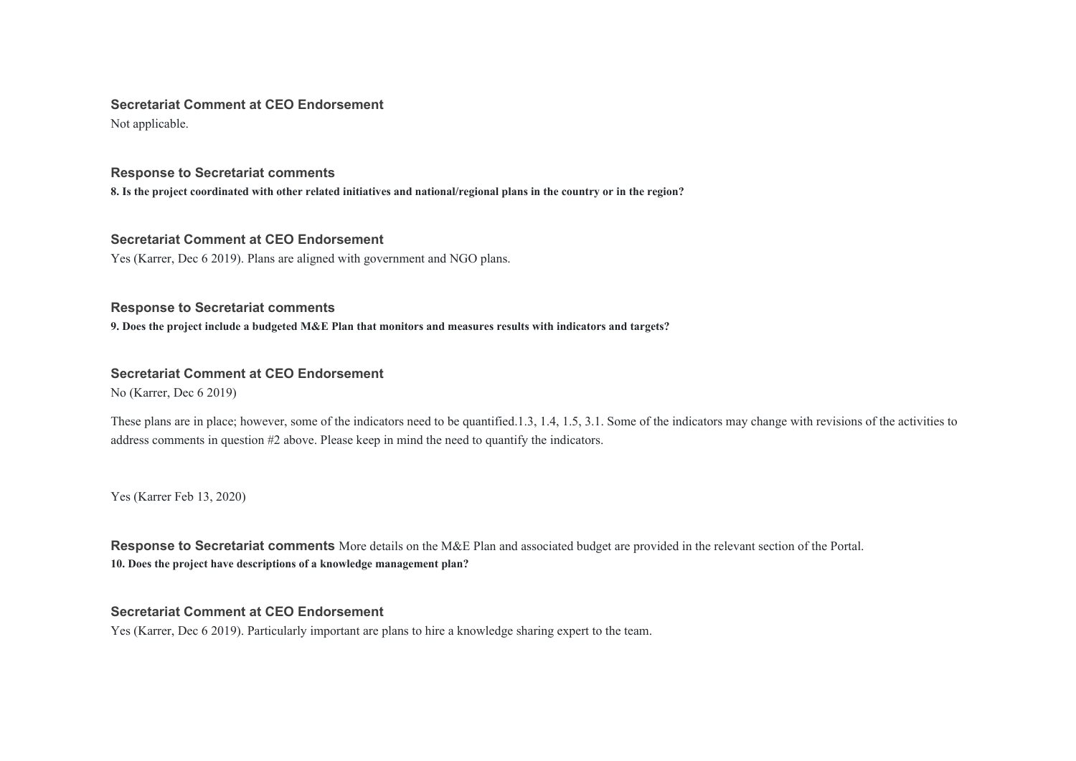#### **Secretariat Comment at CEO Endorsement**

Not applicable.

### **Response to Secretariat comments**

**8. Is the project coordinated with other related initiatives and national/regional plans in the country or in the region?** 

### **Secretariat Comment at CEO Endorsement**

Yes (Karrer, Dec 6 2019). Plans are aligned with government and NGO plans.

# **Response to Secretariat comments**

**9. Does the project include a budgeted M&E Plan that monitors and measures results with indicators and targets?** 

# **Secretariat Comment at CEO Endorsement**

No (Karrer, Dec 6 2019)

These plans are in place; however, some of the indicators need to be quantified.1.3, 1.4, 1.5, 3.1. Some of the indicators may change with revisions of the activities to address comments in question #2 above. Please keep in mind the need to quantify the indicators.

Yes (Karrer Feb 13, 2020)

**Response to Secretariat comments** More details on the M&E Plan and associated budget are provided in the relevant section of the Portal. **10. Does the project have descriptions of a knowledge management plan?** 

# **Secretariat Comment at CEO Endorsement**

Yes (Karrer, Dec 6 2019). Particularly important are plans to hire a knowledge sharing expert to the team.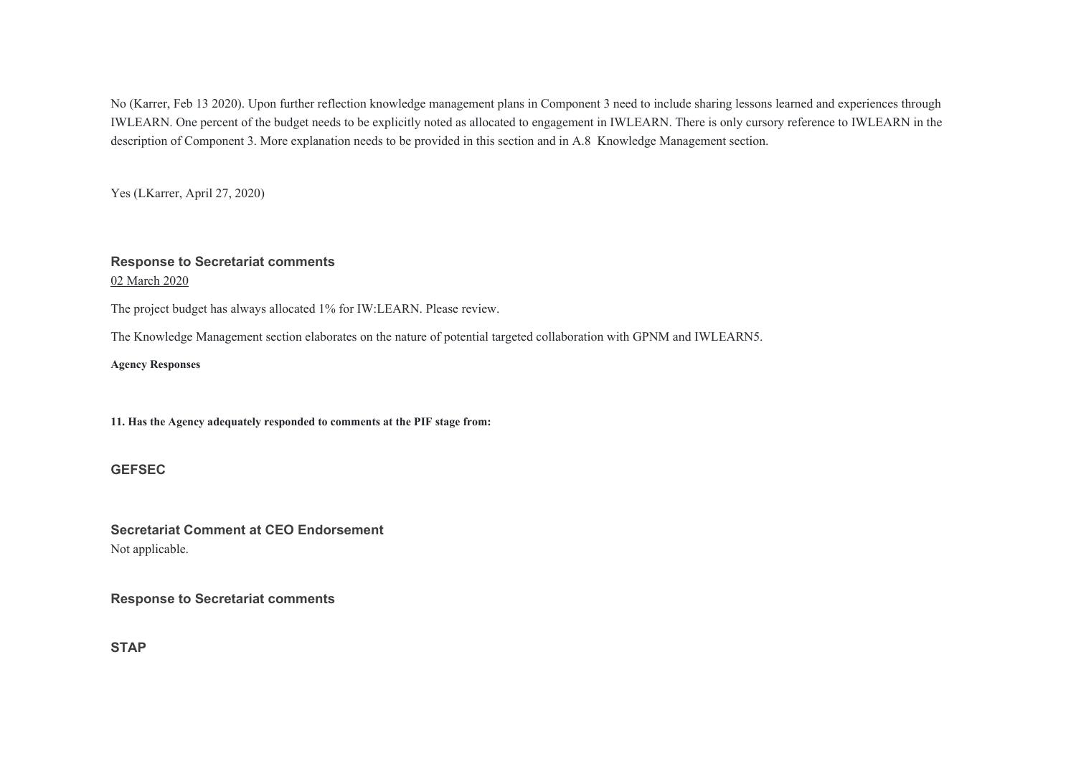No (Karrer, Feb 13 2020). Upon further reflection knowledge management plans in Component 3 need to include sharing lessons learned and experiences through IWLEARN. One percent of the budget needs to be explicitly noted as allocated to engagement in IWLEARN. There is only cursory reference to IWLEARN in the description of Component 3. More explanation needs to be provided in this section and in A.8 Knowledge Management section.

Yes (LKarrer, April 27, 2020)

#### **Response to Secretariat comments**

02 March 2020

The project budget has always allocated 1% for IW:LEARN. Please review.

The Knowledge Management section elaborates on the nature of potential targeted collaboration with GPNM and IWLEARN5.

**Agency Responses** 

**11. Has the Agency adequately responded to comments at the PIF stage from:** 

#### **GEFSEC**

**Secretariat Comment at CEO Endorsement** Not applicable.

**Response to Secretariat comments** 

**STAP**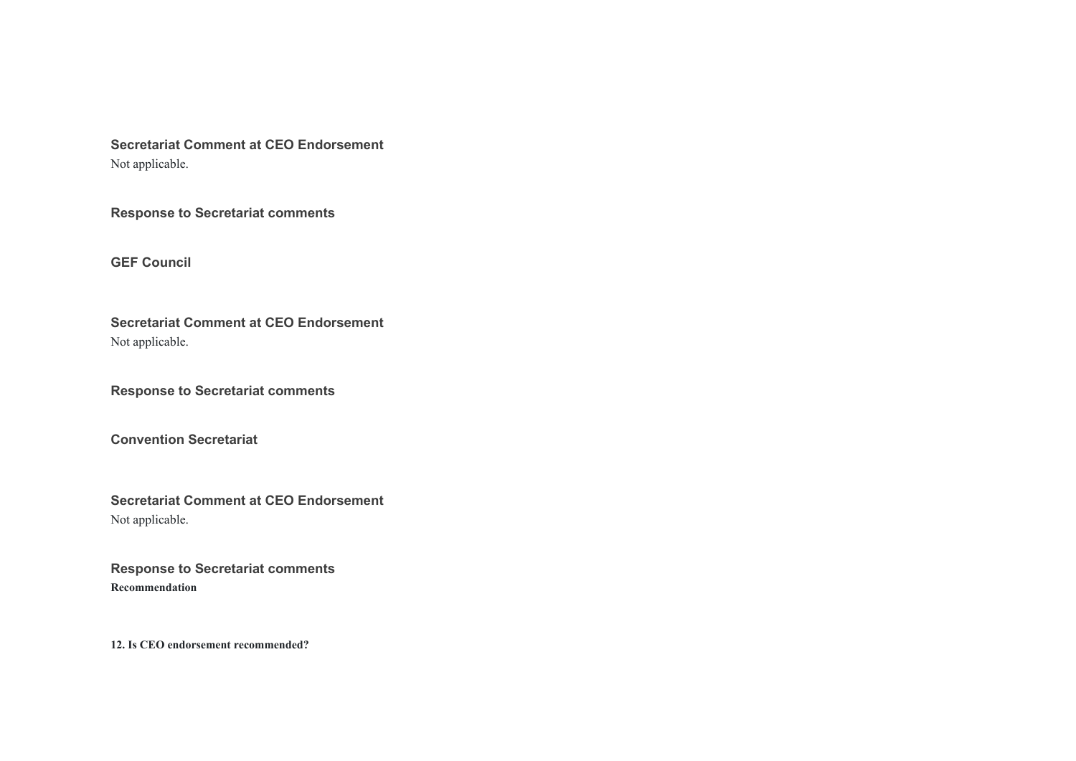**Secretariat Comment at CEO Endorsement** Not applicable.

**Response to Secretariat comments** 

**GEF Council**

**Secretariat Comment at CEO Endorsement** Not applicable.

**Response to Secretariat comments** 

**Convention Secretariat**

**Secretariat Comment at CEO Endorsement** Not applicable.

**Response to Secretariat comments Recommendation** 

**12. Is CEO endorsement recommended?**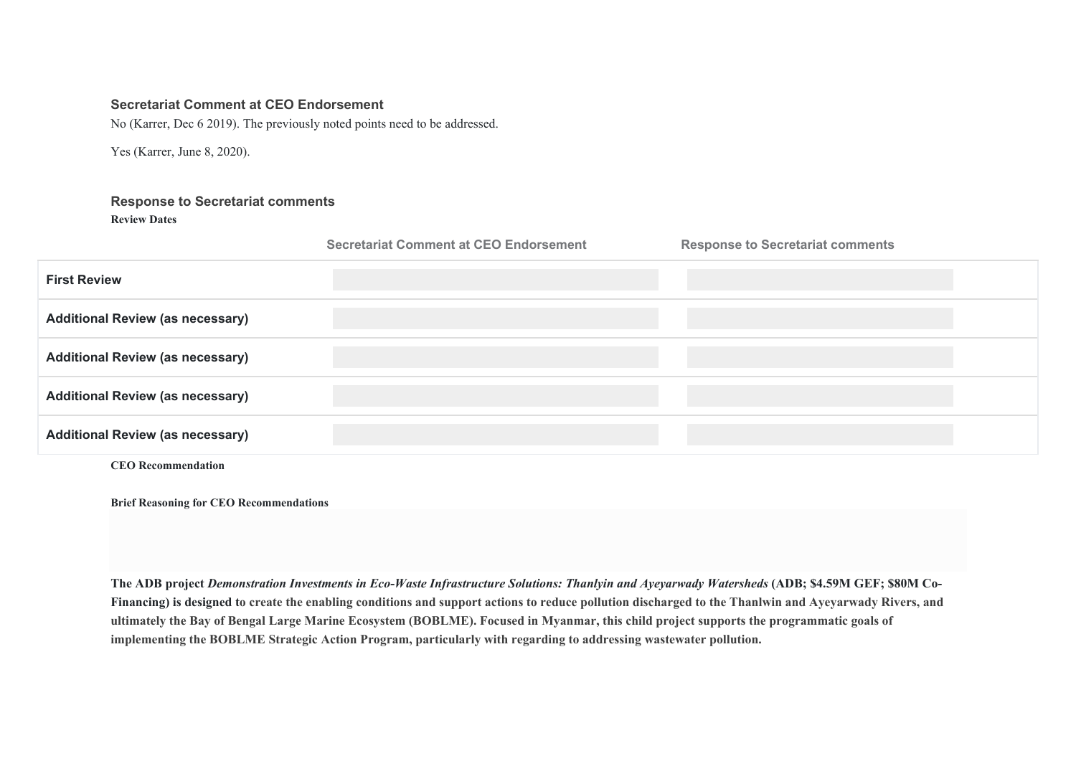# **Secretariat Comment at CEO Endorsement**

No (Karrer, Dec 6 2019). The previously noted points need to be addressed.

Yes (Karrer, June 8, 2020).

# **Response to Secretariat comments Review Dates**

|                                         | <b>Secretariat Comment at CEO Endorsement</b> | <b>Response to Secretariat comments</b> |
|-----------------------------------------|-----------------------------------------------|-----------------------------------------|
| <b>First Review</b>                     |                                               |                                         |
| <b>Additional Review (as necessary)</b> |                                               |                                         |
| <b>Additional Review (as necessary)</b> |                                               |                                         |
| <b>Additional Review (as necessary)</b> |                                               |                                         |
| <b>Additional Review (as necessary)</b> |                                               |                                         |
| <b>CEO</b> Recommendation               |                                               |                                         |

**Brief Reasoning for CEO Recommendations** 

**The ADB project** *Demonstration Investments in Eco-Waste Infrastructure Solutions: Thanlyin and Ayeyarwady Watersheds* **(ADB; \$4.59M GEF; \$80M Co-Financing) is designed to create the enabling conditions and support actions to reduce pollution discharged to the Thanlwin and Ayeyarwady Rivers, and ultimately the Bay of Bengal Large Marine Ecosystem (BOBLME). Focused in Myanmar, this child project supports the programmatic goals of implementing the BOBLME Strategic Action Program, particularly with regarding to addressing wastewater pollution.**